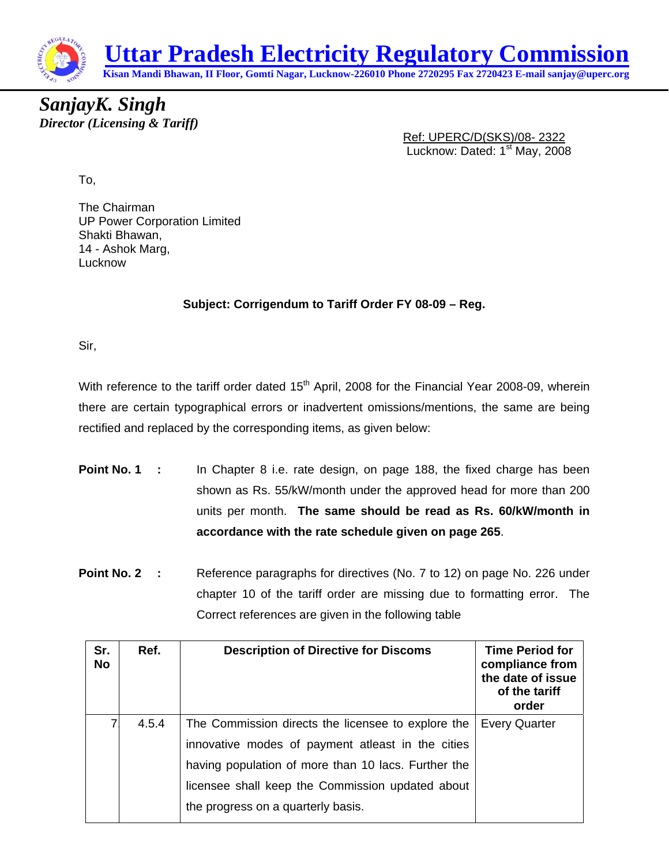

*SanjayK. Singh Director (Licensing & Tariff)* 

Ref: UPERC/D(SKS)/08- 2322 Lucknow: Dated: 1<sup>st</sup> May, 2008

To,

The Chairman UP Power Corporation Limited Shakti Bhawan, 14 - Ashok Marg, **Lucknow** 

## **Subject: Corrigendum to Tariff Order FY 08-09 – Reg.**

Sir,

With reference to the tariff order dated 15<sup>th</sup> April, 2008 for the Financial Year 2008-09, wherein there are certain typographical errors or inadvertent omissions/mentions, the same are being rectified and replaced by the corresponding items, as given below:

- **Point No. 1** : In Chapter 8 i.e. rate design, on page 188, the fixed charge has been shown as Rs. 55/kW/month under the approved head for more than 200 units per month. **The same should be read as Rs. 60/kW/month in accordance with the rate schedule given on page 265**.
- **Point No. 2** : Reference paragraphs for directives (No. 7 to 12) on page No. 226 under chapter 10 of the tariff order are missing due to formatting error. The Correct references are given in the following table

| Sr.<br><b>No</b> | Ref.  | <b>Description of Directive for Discoms</b>         | <b>Time Period for</b><br>compliance from<br>the date of issue<br>of the tariff<br>order |
|------------------|-------|-----------------------------------------------------|------------------------------------------------------------------------------------------|
| 7                | 4.5.4 | The Commission directs the licensee to explore the  | <b>Every Quarter</b>                                                                     |
|                  |       | innovative modes of payment atleast in the cities   |                                                                                          |
|                  |       | having population of more than 10 lacs. Further the |                                                                                          |
|                  |       | licensee shall keep the Commission updated about    |                                                                                          |
|                  |       | the progress on a quarterly basis.                  |                                                                                          |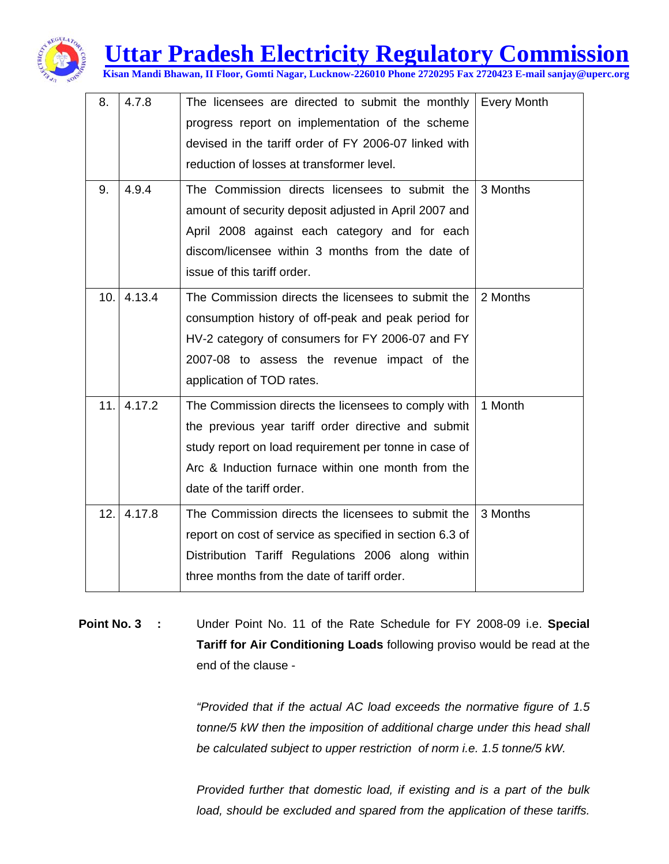

## **Uttar Pradesh Electricity Regulatory Commission**

**Kisan Mandi Bhawan, II Floor, Gomti Nagar, Lucknow-226010 Phone 2720295 Fax 2720423 E-mail sanjay@uperc.org**

| 8.  | 4.7.8  | The licensees are directed to submit the monthly<br>progress report on implementation of the scheme<br>devised in the tariff order of FY 2006-07 linked with<br>reduction of losses at transformer level.                                             | <b>Every Month</b> |
|-----|--------|-------------------------------------------------------------------------------------------------------------------------------------------------------------------------------------------------------------------------------------------------------|--------------------|
| 9.  | 4.9.4  | The Commission directs licensees to submit the<br>amount of security deposit adjusted in April 2007 and<br>April 2008 against each category and for each<br>discom/licensee within 3 months from the date of<br>issue of this tariff order.           | 3 Months           |
| 10. | 4.13.4 | The Commission directs the licensees to submit the<br>consumption history of off-peak and peak period for<br>HV-2 category of consumers for FY 2006-07 and FY<br>2007-08 to assess the revenue impact of the<br>application of TOD rates.             | 2 Months           |
| 11. | 4.17.2 | The Commission directs the licensees to comply with<br>the previous year tariff order directive and submit<br>study report on load requirement per tonne in case of<br>Arc & Induction furnace within one month from the<br>date of the tariff order. | 1 Month            |
| 12. | 4.17.8 | The Commission directs the licensees to submit the<br>report on cost of service as specified in section 6.3 of<br>Distribution Tariff Regulations 2006 along within<br>three months from the date of tariff order.                                    | 3 Months           |

## **Point No. 3 :** Under Point No. 11 of the Rate Schedule for FY 2008-09 i.e. **Special Tariff for Air Conditioning Loads** following proviso would be read at the end of the clause -

*"Provided that if the actual AC load exceeds the normative figure of 1.5 tonne/5 kW then the imposition of additional charge under this head shall be calculated subject to upper restriction of norm i.e. 1.5 tonne/5 kW.* 

*Provided further that domestic load, if existing and is a part of the bulk load, should be excluded and spared from the application of these tariffs.*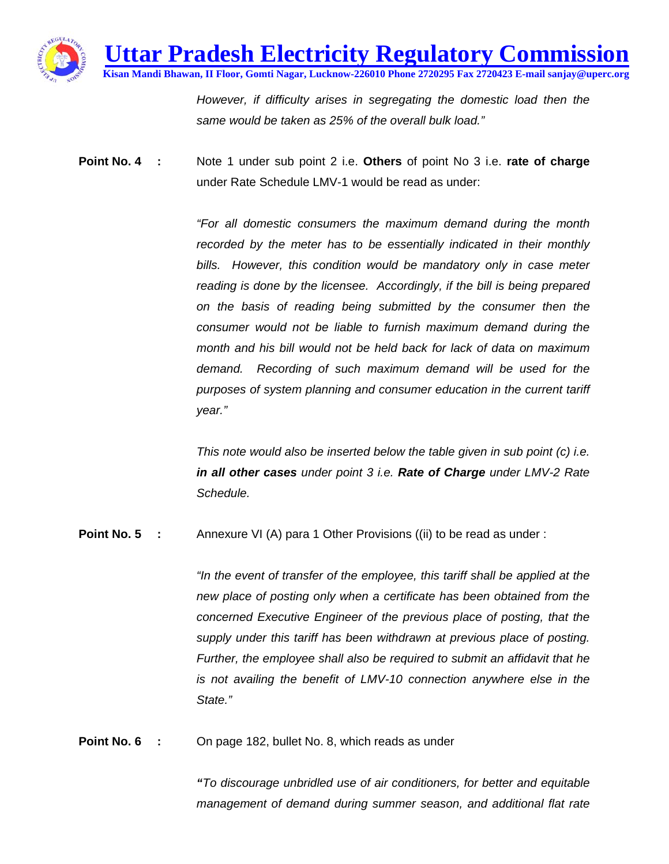

*However, if difficulty arises in segregating the domestic load then the same would be taken as 25% of the overall bulk load."*

**Point No. 4 :** Note 1 under sub point 2 i.e. **Others** of point No 3 i.e. **rate of charge** under Rate Schedule LMV-1 would be read as under:

> *"For all domestic consumers the maximum demand during the month recorded by the meter has to be essentially indicated in their monthly bills. However, this condition would be mandatory only in case meter reading is done by the licensee. Accordingly, if the bill is being prepared on the basis of reading being submitted by the consumer then the consumer would not be liable to furnish maximum demand during the month and his bill would not be held back for lack of data on maximum demand. Recording of such maximum demand will be used for the purposes of system planning and consumer education in the current tariff year."*

> *This note would also be inserted below the table given in sub point (c) i.e. in all other cases under point 3 i.e. Rate of Charge under LMV-2 Rate Schedule.*

**Point No. 5 :** Annexure VI (A) para 1 Other Provisions ((ii) to be read as under :

*"In the event of transfer of the employee, this tariff shall be applied at the new place of posting only when a certificate has been obtained from the concerned Executive Engineer of the previous place of posting, that the supply under this tariff has been withdrawn at previous place of posting. Further, the employee shall also be required to submit an affidavit that he is not availing the benefit of LMV-10 connection anywhere else in the State."* 

**Point No. 6 :** On page 182, bullet No. 8, which reads as under

*"To discourage unbridled use of air conditioners, for better and equitable management of demand during summer season, and additional flat rate*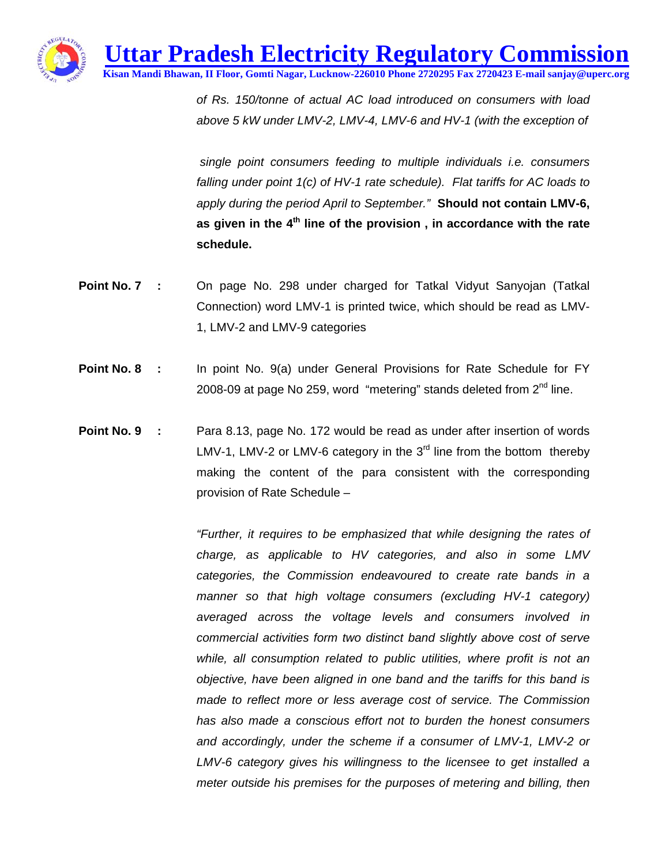**Uttar Pradesh Electricity Regulatory Commission**

**Kisan Mandi Bhawan, II Floor, Gomti Nagar, Lucknow-226010 Phone 2720295 Fax 2720423 E-mail sanjay@uperc.org**

*of Rs. 150/tonne of actual AC load introduced on consumers with load above 5 kW under LMV-2, LMV-4, LMV-6 and HV-1 (with the exception of* 

 *single point consumers feeding to multiple individuals i.e. consumers falling under point 1(c) of HV-1 rate schedule). Flat tariffs for AC loads to apply during the period April to September."* **Should not contain LMV-6, as given in the 4th line of the provision , in accordance with the rate schedule.** 

- **Point No. 7** : On page No. 298 under charged for Tatkal Vidyut Sanyojan (Tatkal Connection) word LMV-1 is printed twice, which should be read as LMV-1, LMV-2 and LMV-9 categories
- **Point No. 8** : In point No. 9(a) under General Provisions for Rate Schedule for FY 2008-09 at page No 259, word "metering" stands deleted from  $2^{nd}$  line.
- **Point No. 9** : Para 8.13, page No. 172 would be read as under after insertion of words LMV-1, LMV-2 or LMV-6 category in the  $3<sup>rd</sup>$  line from the bottom thereby making the content of the para consistent with the corresponding provision of Rate Schedule –

*"Further, it requires to be emphasized that while designing the rates of charge, as applicable to HV categories, and also in some LMV categories, the Commission endeavoured to create rate bands in a manner so that high voltage consumers (excluding HV-1 category) averaged across the voltage levels and consumers involved in commercial activities form two distinct band slightly above cost of serve*  while, all consumption related to public utilities, where profit is not an *objective, have been aligned in one band and the tariffs for this band is made to reflect more or less average cost of service. The Commission has also made a conscious effort not to burden the honest consumers and accordingly, under the scheme if a consumer of LMV-1, LMV-2 or LMV-6 category gives his willingness to the licensee to get installed a meter outside his premises for the purposes of metering and billing, then*